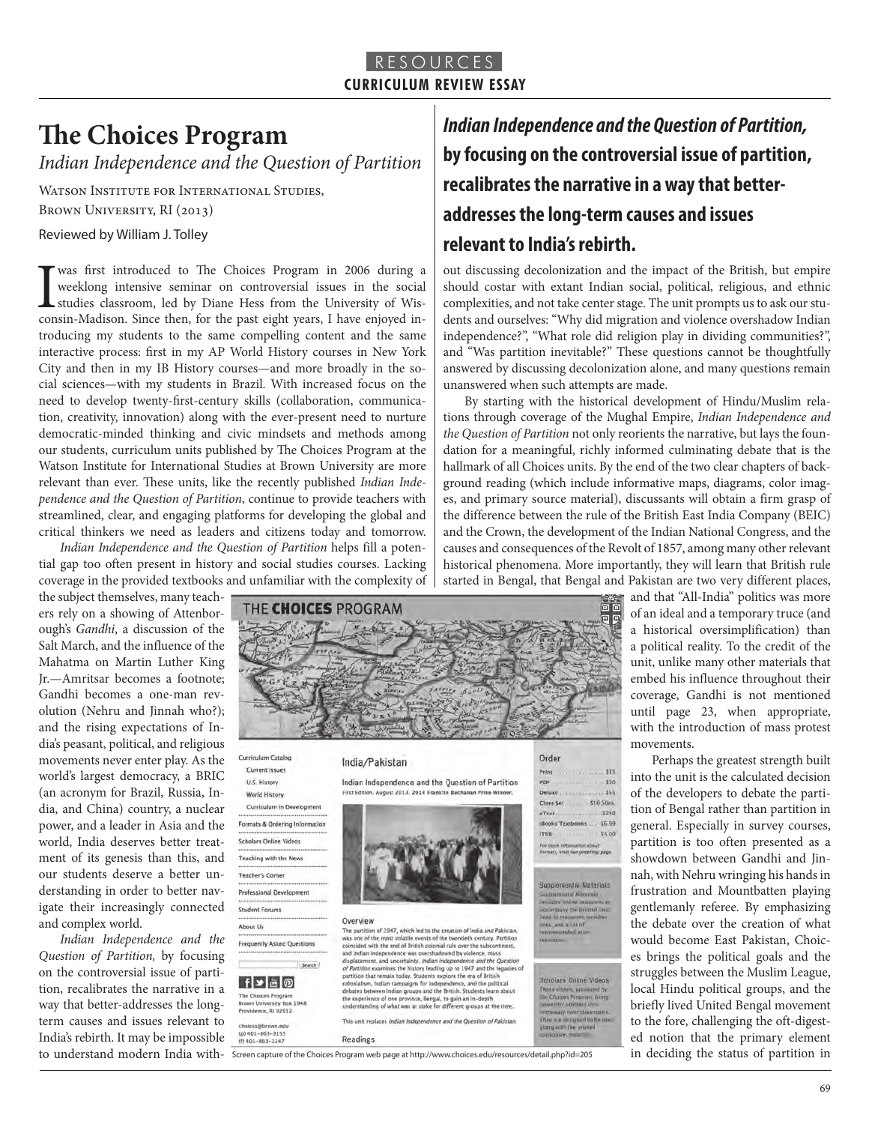### RESOURCES **CURRICULUM REVIEW ESSAY**

# **The Choices Program**

*Indian Independence and the Question of Partition*

WATSON INSTITUTE FOR INTERNATIONAL STUDIES,

Brown University, RI (2013)

Reviewed by William J. Tolley

**T** was first introduced to The Choices Program in 2006 during a weeklong intensive seminar on controversial issues in the social studies classroom, led by Diane Hess from the University of Wisconsin-Madison. Since then, f weeklong intensive seminar on controversial issues in the social studies classroom, led by Diane Hess from the University of Wisconsin-Madison. Since then, for the past eight years, I have enjoyed introducing my students to the same compelling content and the same interactive process: first in my AP World History courses in New York City and then in my IB History courses—and more broadly in the social sciences—with my students in Brazil. With increased focus on the need to develop twenty-first-century skills (collaboration, communication, creativity, innovation) along with the ever-present need to nurture democratic-minded thinking and civic mindsets and methods among our students, curriculum units published by The Choices Program at the Watson Institute for International Studies at Brown University are more relevant than ever. These units, like the recently published *Indian Independence and the Question of Partition*, continue to provide teachers with streamlined, clear, and engaging platforms for developing the global and critical thinkers we need as leaders and citizens today and tomorrow.

*Indian Independence and the Question of Partition* helps fill a potential gap too often present in history and social studies courses. Lacking coverage in the provided textbooks and unfamiliar with the complexity of

the subject themselves, many teachers rely on a showing of Attenborough's *Gandhi*, a discussion of the Salt March, and the influence of the Mahatma on Martin Luther King Jr.—Amritsar becomes a footnote; Gandhi becomes a one-man revolution (Nehru and Jinnah who?); and the rising expectations of India's peasant, political, and religious movements never enter play. As the world's largest democracy, a BRIC (an acronym for Brazil, Russia, India, and China) country, a nuclear power, and a leader in Asia and the world, India deserves better treatment of its genesis than this, and our students deserve a better understanding in order to better navigate their increasingly connected and complex world.

*Indian Independence and the Question of Partition,* by focusing on the controversial issue of partition, recalibrates the narrative in a way that better-addresses the longterm causes and issues relevant to India's rebirth. It may be impossible



**Overview**<br>
The partition af 1947, which led to the creation of India and Pakistan,<br>
The partition of the ment volatile events of the twentielth century. Partition<br>
related with the end of British colonisal rule over the

This unit replaces *Indian Independence and the Question of Pakistan* 

Deluxe

eText

Class Set

**Books Te** ITRB.

155

5240

\$6.99

55.00

more miteriuantes about<br>mats, vitalt our ordering page

Supplemental Materials

upplemental Meanway<br>middes anthur resources<br>coordinary the prested on

Scholars Online Videos

tes, and a list of

\$16,50mm

First Edition, August 2013, 2014 Fra. World History Curriculum in Development Formats & Ordering Information **Scholars Online Videos** Teaching with the News Teacher's Corner Professional Development

**Student Forums** About Us Frequently Asked Questions

### Search  $f$   $\bullet$   $\circ$

The Choices Program<br>Brown University Box ity Box 1948 Providence, RI 02012

 $0401 - 863 - 3155$ 

 $(f)$  401-863-1247

Readings

Overview

*Indian Independence and the Question of Partition,* **by focusing on the controversial issue of partition, recalibrates the narrative in a way that betteraddresses the long-term causes and issues relevant to India's rebirth.**

out discussing decolonization and the impact of the British, but empire should costar with extant Indian social, political, religious, and ethnic complexities, and not take center stage. The unit prompts us to ask our students and ourselves: "Why did migration and violence overshadow Indian independence?", "What role did religion play in dividing communities?", and "Was partition inevitable?" These questions cannot be thoughtfully answered by discussing decolonization alone, and many questions remain unanswered when such attempts are made.

By starting with the historical development of Hindu/Muslim relations through coverage of the Mughal Empire, *Indian Independence and the Question of Partition* not only reorients the narrative, but lays the foundation for a meaningful, richly informed culminating debate that is the hallmark of all Choices units. By the end of the two clear chapters of background reading (which include informative maps, diagrams, color images, and primary source material), discussants will obtain a firm grasp of the difference between the rule of the British East India Company (BEIC) and the Crown, the development of the Indian National Congress, and the causes and consequences of the Revolt of 1857, among many other relevant historical phenomena. More importantly, they will learn that British rule started in Bengal, that Bengal and Pakistan are two very different places,

and that "All-India" politics was more of an ideal and a temporary truce (and a historical oversimplification) than a political reality. To the credit of the unit, unlike many other materials that embed his influence throughout their coverage, Gandhi is not mentioned until page 23, when appropriate, with the introduction of mass protest movements.

to understand modern India with-Screen capture of the Choices Program web page at http://www.choices.edu/resources/detail.php?id=205 in deciding the status of partition in Perhaps the greatest strength built into the unit is the calculated decision of the developers to debate the partition of Bengal rather than partition in general. Especially in survey courses, partition is too often presented as a showdown between Gandhi and Jinnah, with Nehru wringing his hands in frustration and Mountbatten playing gentlemanly referee. By emphasizing the debate over the creation of what would become East Pakistan, Choices brings the political goals and the struggles between the Muslim League, local Hindu political groups, and the briefly lived United Bengal movement to the fore, challenging the oft-digested notion that the primary element

69